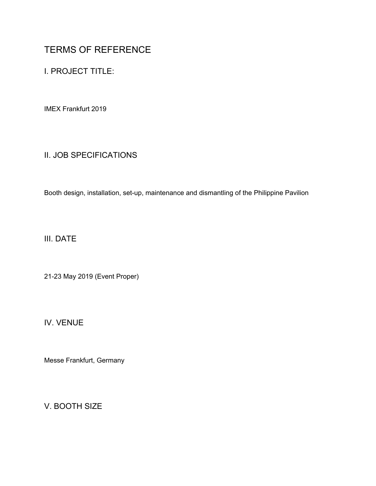# TERMS OF REFERENCE

I. PROJECT TITLE:

IMEX Frankfurt 2019

# II. JOB SPECIFICATIONS

Booth design, installation, set-up, maintenance and dismantling of the Philippine Pavilion

III. DATE

21-23 May 2019 (Event Proper)

IV. VENUE

Messe Frankfurt, Germany

V. BOOTH SIZE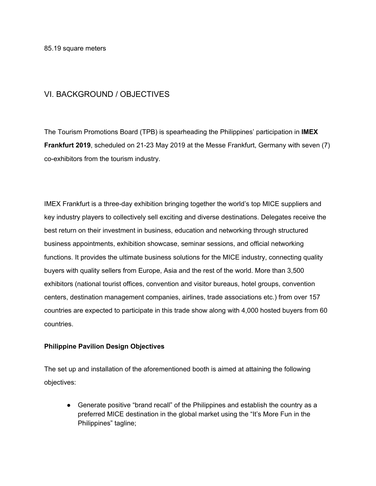85.19 square meters

#### VI. BACKGROUND / OBJECTIVES

The Tourism Promotions Board (TPB) is spearheading the Philippines' participation in **IMEX Frankfurt 2019**, scheduled on 21-23 May 2019 at the Messe Frankfurt, Germany with seven (7) co-exhibitors from the tourism industry.

IMEX Frankfurt is a three-day exhibition bringing together the world's top MICE suppliers and key industry players to collectively sell exciting and diverse destinations. Delegates receive the best return on their investment in business, education and networking through structured business appointments, exhibition showcase, seminar sessions, and official networking functions. It provides the ultimate business solutions for the MICE industry, connecting quality buyers with quality sellers from Europe, Asia and the rest of the world. More than 3,500 exhibitors (national tourist offices, convention and visitor bureaus, hotel groups, convention centers, destination management companies, airlines, trade associations etc.) from over 157 countries are expected to participate in this trade show along with 4,000 hosted buyers from 60 countries.

#### **Philippine Pavilion Design Objectives**

The set up and installation of the aforementioned booth is aimed at attaining the following objectives:

● Generate positive "brand recall" of the Philippines and establish the country as a preferred MICE destination in the global market using the "It's More Fun in the Philippines" tagline;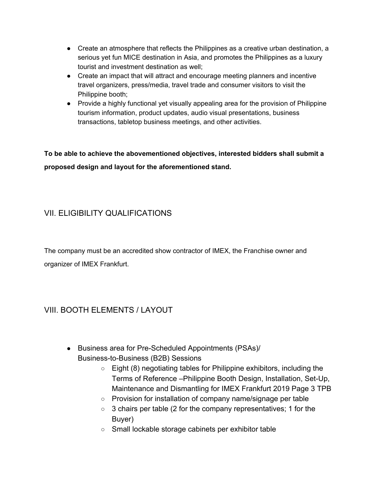- Create an atmosphere that reflects the Philippines as a creative urban destination, a serious yet fun MICE destination in Asia, and promotes the Philippines as a luxury tourist and investment destination as well;
- Create an impact that will attract and encourage meeting planners and incentive travel organizers, press/media, travel trade and consumer visitors to visit the Philippine booth;
- Provide a highly functional yet visually appealing area for the provision of Philippine tourism information, product updates, audio visual presentations, business transactions, tabletop business meetings, and other activities.

**To be able to achieve the abovementioned objectives, interested bidders shall submit a proposed design and layout for the aforementioned stand.**

# VII. ELIGIBILITY QUALIFICATIONS

The company must be an accredited show contractor of IMEX, the Franchise owner and organizer of IMEX Frankfurt.

# VIII. BOOTH ELEMENTS / LAYOUT

- Business area for Pre-Scheduled Appointments (PSAs)/ Business-to-Business (B2B) Sessions
	- $\circ$  Eight (8) negotiating tables for Philippine exhibitors, including the Terms of Reference –Philippine Booth Design, Installation, Set-Up, Maintenance and Dismantling for IMEX Frankfurt 2019 Page 3 TPB
	- Provision for installation of company name/signage per table
	- $\circ$  3 chairs per table (2 for the company representatives; 1 for the Buyer)
	- Small lockable storage cabinets per exhibitor table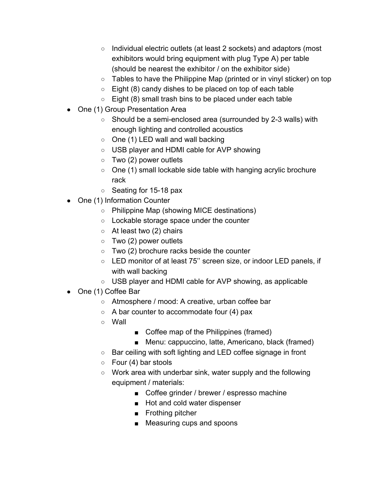- Individual electric outlets (at least 2 sockets) and adaptors (most exhibitors would bring equipment with plug Type A) per table (should be nearest the exhibitor / on the exhibitor side)
- Tables to have the Philippine Map (printed or in vinyl sticker) on top
- $\circ$  Eight (8) candy dishes to be placed on top of each table
- $\circ$  Eight (8) small trash bins to be placed under each table
- One (1) Group Presentation Area
	- Should be a semi-enclosed area (surrounded by 2-3 walls) with enough lighting and controlled acoustics
	- One (1) LED wall and wall backing
	- USB player and HDMI cable for AVP showing
	- $\circ$  Two (2) power outlets
	- One (1) small lockable side table with hanging acrylic brochure rack
	- Seating for 15-18 pax
- One (1) Information Counter
	- Philippine Map (showing MICE destinations)
	- Lockable storage space under the counter
	- $\circ$  At least two (2) chairs
	- $\circ$  Two (2) power outlets
	- $\circ$  Two (2) brochure racks beside the counter
	- LED monitor of at least 75'' screen size, or indoor LED panels, if with wall backing
	- USB player and HDMI cable for AVP showing, as applicable
- One (1) Coffee Bar
	- Atmosphere / mood: A creative, urban coffee bar
	- $\circ$  A bar counter to accommodate four (4) pax
	- Wall
- Coffee map of the Philippines (framed)
- Menu: cappuccino, latte, Americano, black (framed)
- Bar ceiling with soft lighting and LED coffee signage in front
- $\circ$  Four (4) bar stools
- Work area with underbar sink, water supply and the following equipment / materials:
	- Coffee grinder / brewer / espresso machine
	- Hot and cold water dispenser
	- Frothing pitcher
	- Measuring cups and spoons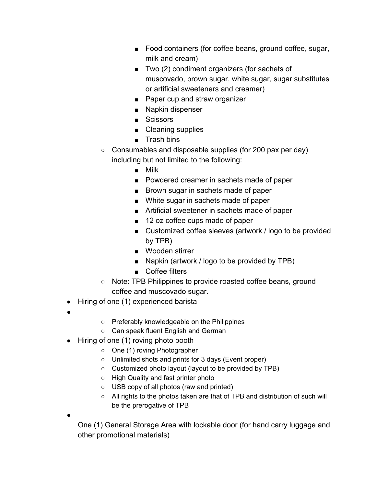- Food containers (for coffee beans, ground coffee, sugar, milk and cream)
- Two (2) condiment organizers (for sachets of muscovado, brown sugar, white sugar, sugar substitutes or artificial sweeteners and creamer)
- Paper cup and straw organizer
- Napkin dispenser
- Scissors
- Cleaning supplies
- Trash bins
- Consumables and disposable supplies (for 200 pax per day) including but not limited to the following:
	- Milk
	- Powdered creamer in sachets made of paper
	- Brown sugar in sachets made of paper
	- White sugar in sachets made of paper
	- Artificial sweetener in sachets made of paper
	- 12 oz coffee cups made of paper
	- Customized coffee sleeves (artwork / logo to be provided by TPB)
	- Wooden stirrer
	- Napkin (artwork / logo to be provided by TPB)
	- Coffee filters
- Note: TPB Philippines to provide roasted coffee beans, ground coffee and muscovado sugar.
- Hiring of one (1) experienced barista
- ●
- Preferably knowledgeable on the Philippines
- Can speak fluent English and German
- Hiring of one (1) roving photo booth
	- One (1) roving Photographer
	- Unlimited shots and prints for 3 days (Event proper)
	- Customized photo layout (layout to be provided by TPB)
	- High Quality and fast printer photo
	- USB copy of all photos (raw and printed)
	- All rights to the photos taken are that of TPB and distribution of such will be the prerogative of TPB
- ●

One (1) General Storage Area with lockable door (for hand carry luggage and other promotional materials)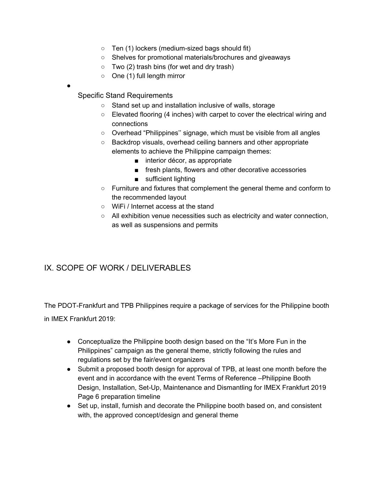- Ten (1) lockers (medium-sized bags should fit)
- Shelves for promotional materials/brochures and giveaways
- $\circ$  Two (2) trash bins (for wet and dry trash)
- One (1) full length mirror
- ●

Specific Stand Requirements

- Stand set up and installation inclusive of walls, storage
- Elevated flooring (4 inches) with carpet to cover the electrical wiring and connections
- Overhead "Philippines'' signage, which must be visible from all angles
- Backdrop visuals, overhead ceiling banners and other appropriate elements to achieve the Philippine campaign themes:
	- interior décor, as appropriate
	- fresh plants, flowers and other decorative accessories
	- sufficient lighting
- Furniture and fixtures that complement the general theme and conform to the recommended layout
- WiFi / Internet access at the stand
- All exhibition venue necessities such as electricity and water connection, as well as suspensions and permits

# IX. SCOPE OF WORK / DELIVERABLES

The PDOT-Frankfurt and TPB Philippines require a package of services for the Philippine booth in IMEX Frankfurt 2019:

- Conceptualize the Philippine booth design based on the "It's More Fun in the Philippines" campaign as the general theme, strictly following the rules and regulations set by the fair/event organizers
- Submit a proposed booth design for approval of TPB, at least one month before the event and in accordance with the event Terms of Reference –Philippine Booth Design, Installation, Set-Up, Maintenance and Dismantling for IMEX Frankfurt 2019 Page 6 preparation timeline
- Set up, install, furnish and decorate the Philippine booth based on, and consistent with, the approved concept/design and general theme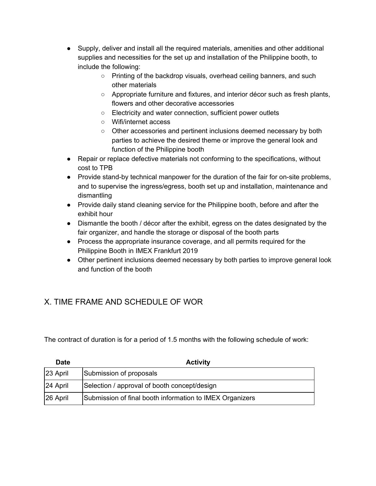- Supply, deliver and install all the required materials, amenities and other additional supplies and necessities for the set up and installation of the Philippine booth, to include the following:
	- Printing of the backdrop visuals, overhead ceiling banners, and such other materials
	- Appropriate furniture and fixtures, and interior décor such as fresh plants, flowers and other decorative accessories
	- Electricity and water connection, sufficient power outlets
	- Wifi/internet access
	- Other accessories and pertinent inclusions deemed necessary by both parties to achieve the desired theme or improve the general look and function of the Philippine booth
- Repair or replace defective materials not conforming to the specifications, without cost to TPB
- Provide stand-by technical manpower for the duration of the fair for on-site problems, and to supervise the ingress/egress, booth set up and installation, maintenance and dismantling
- Provide daily stand cleaning service for the Philippine booth, before and after the exhibit hour
- Dismantle the booth / décor after the exhibit, egress on the dates designated by the fair organizer, and handle the storage or disposal of the booth parts
- Process the appropriate insurance coverage, and all permits required for the Philippine Booth in IMEX Frankfurt 2019
- Other pertinent inclusions deemed necessary by both parties to improve general look and function of the booth

# X. TIME FRAME AND SCHEDULE OF WOR

The contract of duration is for a period of 1.5 months with the following schedule of work:

| <b>Date</b> | <b>Activity</b>                                          |
|-------------|----------------------------------------------------------|
| 23 April    | Submission of proposals                                  |
| 24 April    | Selection / approval of booth concept/design             |
| 26 April    | Submission of final booth information to IMEX Organizers |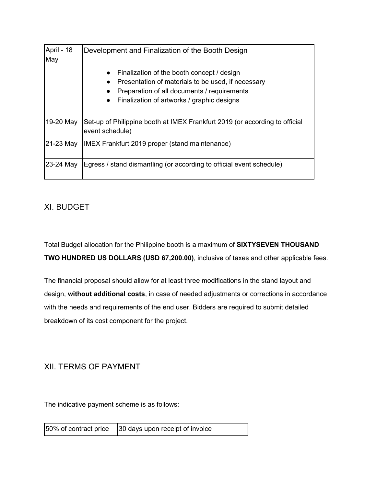| April - 18<br>May | Development and Finalization of the Booth Design                                                                                                                                                           |
|-------------------|------------------------------------------------------------------------------------------------------------------------------------------------------------------------------------------------------------|
|                   | Finalization of the booth concept / design<br>$\bullet$<br>Presentation of materials to be used, if necessary<br>Preparation of all documents / requirements<br>Finalization of artworks / graphic designs |
| 19-20 May         | Set-up of Philippine booth at IMEX Frankfurt 2019 (or according to official<br>event schedule)                                                                                                             |
| 21-23 May         | IMEX Frankfurt 2019 proper (stand maintenance)                                                                                                                                                             |
| 23-24 May         | Egress / stand dismantling (or according to official event schedule)                                                                                                                                       |

### XI. BUDGET

Total Budget allocation for the Philippine booth is a maximum of **SIXTYSEVEN THOUSAND TWO HUNDRED US DOLLARS (USD 67,200.00)**, inclusive of taxes and other applicable fees.

The financial proposal should allow for at least three modifications in the stand layout and design, **without additional costs**, in case of needed adjustments or corrections in accordance with the needs and requirements of the end user. Bidders are required to submit detailed breakdown of its cost component for the project.

### XII. TERMS OF PAYMENT

The indicative payment scheme is as follows:

50% of contract price 30 days upon receipt of invoice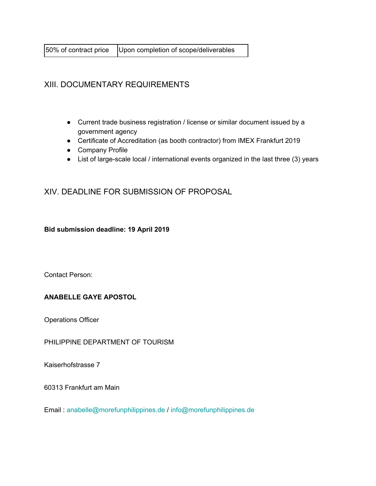50% of contract price | Upon completion of scope/deliverables

### XIII. DOCUMENTARY REQUIREMENTS

- Current trade business registration / license or similar document issued by a government agency
- Certificate of Accreditation (as booth contractor) from IMEX Frankfurt 2019
- Company Profile
- List of large-scale local / international events organized in the last three (3) years

XIV. DEADLINE FOR SUBMISSION OF PROPOSAL

**Bid submission deadline: 19 April 2019**

Contact Person:

#### **ANABELLE GAYE APOSTOL**

Operations Officer

PHILIPPINE DEPARTMENT OF TOURISM

Kaiserhofstrasse 7

60313 Frankfurt am Main

Email : anabelle@morefunphilippines.de / info@morefunphilippines.de